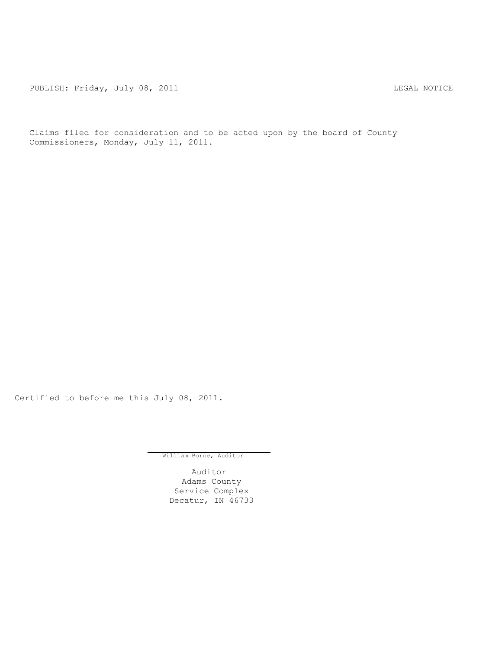PUBLISH: Friday, July 08, 2011 <br>
LEGAL NOTICE

Claims filed for consideration and to be acted upon by the board of County Commissioners, Monday, July 11, 2011.

Certified to before me this July 08, 2011.

William Borne, Auditor

Auditor Adams County Service Complex Decatur, IN 46733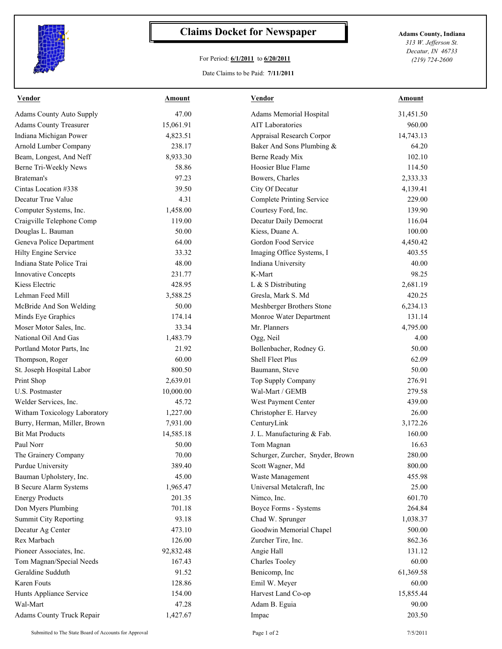

## **Claims Docket for Newspaper Adams County, Indiana**

## For Period: **6/1/2011** to **6/20/2011**

*313 W. Jefferson St. Decatur, IN 46733 (219) 724-2600*

## Date Claims to be Paid: **7/11/2011**

| <b>Vendor</b>                   | <b>Amount</b> | <b>Vendor</b>                    | <b>Amount</b> |
|---------------------------------|---------------|----------------------------------|---------------|
| <b>Adams County Auto Supply</b> | 47.00         | Adams Memorial Hospital          | 31,451.50     |
| <b>Adams County Treasurer</b>   | 15,061.91     | <b>AIT Laboratories</b>          | 960.00        |
| Indiana Michigan Power          | 4,823.51      | Appraisal Research Corpor        | 14,743.13     |
| Arnold Lumber Company           | 238.17        | Baker And Sons Plumbing &        | 64.20         |
| Beam, Longest, And Neff         | 8,933.30      | Berne Ready Mix                  | 102.10        |
| Berne Tri-Weekly News           | 58.86         | Hoosier Blue Flame               | 114.50        |
| Brateman's                      | 97.23         | Bowers, Charles                  | 2,333.33      |
| Cintas Location #338            | 39.50         | City Of Decatur                  | 4,139.41      |
| Decatur True Value              | 4.31          | <b>Complete Printing Service</b> | 229.00        |
| Computer Systems, Inc.          | 1,458.00      | Courtesy Ford, Inc.              | 139.90        |
| Craigville Telephone Comp       | 119.00        | Decatur Daily Democrat           | 116.04        |
| Douglas L. Bauman               | 50.00         | Kiess, Duane A.                  | 100.00        |
| Geneva Police Department        | 64.00         | Gordon Food Service              | 4,450.42      |
| Hilty Engine Service            | 33.32         | Imaging Office Systems, I        | 403.55        |
| Indiana State Police Trai       | 48.00         | Indiana University               | 40.00         |
| <b>Innovative Concepts</b>      | 231.77        | K-Mart                           | 98.25         |
| Kiess Electric                  | 428.95        | L & S Distributing               | 2,681.19      |
| Lehman Feed Mill                | 3,588.25      | Gresla, Mark S. Md               | 420.25        |
| McBride And Son Welding         | 50.00         | Meshberger Brothers Stone        | 6,234.13      |
| Minds Eye Graphics              | 174.14        | Monroe Water Department          | 131.14        |
| Moser Motor Sales, Inc.         | 33.34         | Mr. Planners                     | 4,795.00      |
| National Oil And Gas            | 1,483.79      | Ogg, Neil                        | 4.00          |
| Portland Motor Parts, Inc.      | 21.92         | Bollenbacher, Rodney G.          | 50.00         |
| Thompson, Roger                 | 60.00         | <b>Shell Fleet Plus</b>          | 62.09         |
| St. Joseph Hospital Labor       | 800.50        | Baumann, Steve                   | 50.00         |
| Print Shop                      | 2,639.01      | Top Supply Company               | 276.91        |
| U.S. Postmaster                 | 10,000.00     | Wal-Mart / GEMB                  | 279.58        |
| Welder Services, Inc.           | 45.72         | West Payment Center              | 439.00        |
| Witham Toxicology Laboratory    | 1,227.00      | Christopher E. Harvey            | 26.00         |
| Burry, Herman, Miller, Brown    | 7,931.00      | CenturyLink                      | 3,172.26      |
| <b>Bit Mat Products</b>         | 14,585.18     | J. L. Manufacturing & Fab.       | 160.00        |
| Paul Norr                       | 50.00         | Tom Magnan                       | 16.63         |
| The Grainery Company            | 70.00         | Schurger, Zurcher, Snyder, Brown | 280.00        |
| Purdue University               | 389.40        | Scott Wagner, Md                 | 800.00        |
| Bauman Upholstery, Inc.         | 45.00         | Waste Management                 | 455.98        |
| <b>B</b> Secure Alarm Systems   | 1,965.47      | Universal Metalcraft, Inc        | 25.00         |
| <b>Energy Products</b>          | 201.35        | Nimco, Inc.                      | 601.70        |
| Don Myers Plumbing              | 701.18        | Boyce Forms - Systems            | 264.84        |
| Summit City Reporting           | 93.18         | Chad W. Sprunger                 | 1,038.37      |
|                                 | 473.10        |                                  | 500.00        |
| Decatur Ag Center               |               | Goodwin Memorial Chapel          |               |
| Rex Marbach                     | 126.00        | Zurcher Tire, Inc.               | 862.36        |
| Pioneer Associates, Inc.        | 92,832.48     | Angie Hall                       | 131.12        |
| Tom Magnan/Special Needs        | 167.43        | <b>Charles Tooley</b>            | 60.00         |
| Geraldine Sudduth               | 91.52         | Benicomp, Inc                    | 61,369.58     |
| Karen Fouts                     | 128.86        | Emil W. Meyer                    | 60.00         |
| Hunts Appliance Service         | 154.00        | Harvest Land Co-op               | 15,855.44     |
| Wal-Mart                        | 47.28         | Adam B. Eguia                    | 90.00         |
| Adams County Truck Repair       | 1,427.67      | Impac                            | 203.50        |